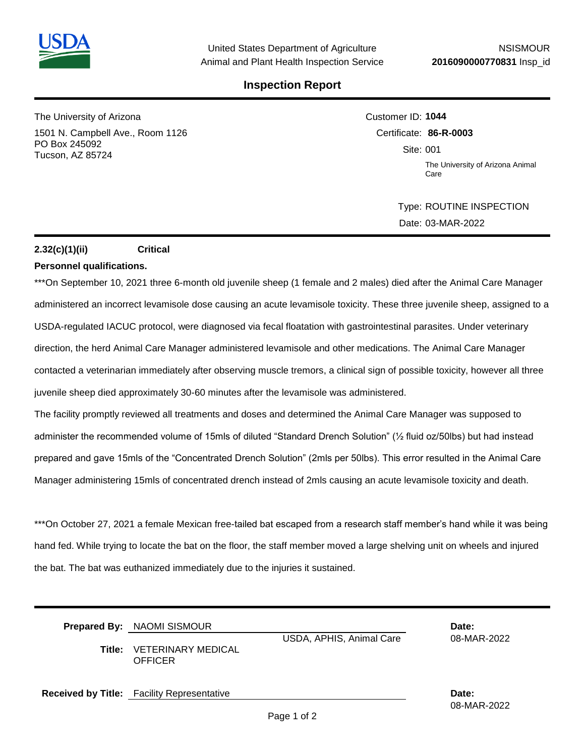## **Inspection Report**

The University of Arizona 1501 N. Campbell Ave., Room 1126 PO Box 245092 Tucson, AZ 85724

Customer ID: **1044** Certificate: **86-R-0003**  Site: 001 The University of Arizona Animal Care

> Type: ROUTINE INSPECTION Date: 03-MAR-2022

## **2.32(c)(1)(ii) Critical**

#### **Personnel qualifications.**

\*\*\*On September 10, 2021 three 6-month old juvenile sheep (1 female and 2 males) died after the Animal Care Manager administered an incorrect levamisole dose causing an acute levamisole toxicity. These three juvenile sheep, assigned to a USDA-regulated IACUC protocol, were diagnosed via fecal floatation with gastrointestinal parasites. Under veterinary direction, the herd Animal Care Manager administered levamisole and other medications. The Animal Care Manager contacted a veterinarian immediately after observing muscle tremors, a clinical sign of possible toxicity, however all three juvenile sheep died approximately 30-60 minutes after the levamisole was administered.

The facility promptly reviewed all treatments and doses and determined the Animal Care Manager was supposed to administer the recommended volume of 15mls of diluted "Standard Drench Solution" (½ fluid oz/50lbs) but had instead prepared and gave 15mls of the "Concentrated Drench Solution" (2mls per 50lbs). This error resulted in the Animal Care Manager administering 15mls of concentrated drench instead of 2mls causing an acute levamisole toxicity and death.

\*\*\*On October 27, 2021 a female Mexican free-tailed bat escaped from a research staff member's hand while it was being hand fed. While trying to locate the bat on the floor, the staff member moved a large shelving unit on wheels and injured the bat. The bat was euthanized immediately due to the injuries it sustained.

| Title: | <b>Prepared By:</b> NAOMI SISMOUR<br><b>VETERINARY MEDICAL</b><br><b>OFFICER</b> | USDA, APHIS, Animal Care | Date:<br>08-MAR-2022 |
|--------|----------------------------------------------------------------------------------|--------------------------|----------------------|
|        | <b>Received by Title:</b> Facility Representative                                |                          | Date:<br>08-MAR-2022 |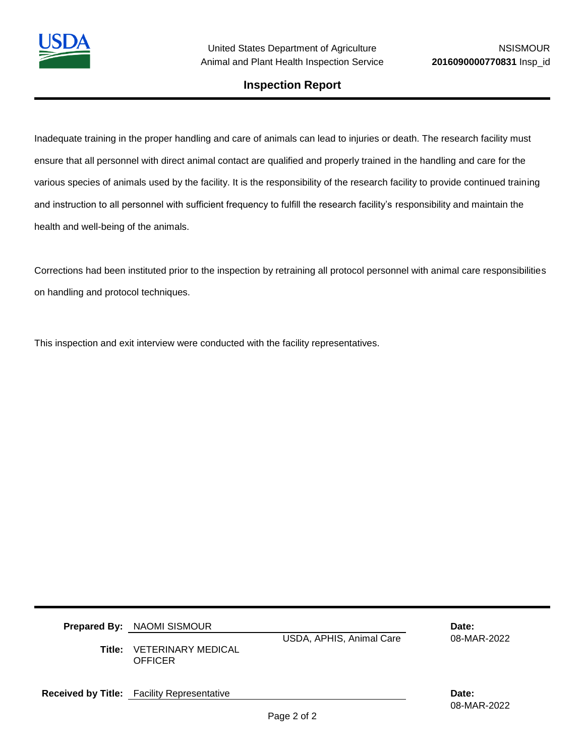

08-MAR-2022

## **Inspection Report**

Inadequate training in the proper handling and care of animals can lead to injuries or death. The research facility must ensure that all personnel with direct animal contact are qualified and properly trained in the handling and care for the various species of animals used by the facility. It is the responsibility of the research facility to provide continued training and instruction to all personnel with sufficient frequency to fulfill the research facility's responsibility and maintain the health and well-being of the animals.

Corrections had been instituted prior to the inspection by retraining all protocol personnel with animal care responsibilities on handling and protocol techniques.

This inspection and exit interview were conducted with the facility representatives.

| <b>Prepared By: NAOMI SISMOUR</b><br><b>Title: VETERINARY MEDICAL</b><br><b>OFFICER</b> | USDA, APHIS, Animal Care | Date:<br>08-MAR-2022 |
|-----------------------------------------------------------------------------------------|--------------------------|----------------------|
| <b>Received by Title:</b> Facility Representative                                       |                          | Date:                |